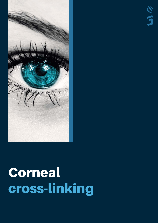

公団

# Corneal cross-linking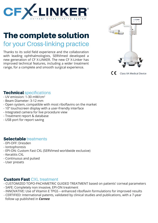

## The complete solution for your Cross-linking practice

Thanks to its solid field experience and the collaboration with leading ophthalmologists, SERVImed developed a new generation of CF X-LINKER. The new CF X-Linker has improved technical features, including a wider treatment range, for a complete and smooth surgical experience.



 $\epsilon$ Class IIA Medical Device

#### **Technical specifications**

- UV emission: 1-30 mW/cm<sup>2</sup>
- Beam Diameter: 3-12 mm
- Open system, compatible with most riboflavins on the market
- 10'' touchscreen display with a user-friendly interface
- Integrated camera for live procedure view
- Treatment report & database
- USB port for report saving

### Selectable treatments

- EPI-OFF: Dresden
- Iontophoresis
- EPI-ON: Custom Fast CXL (SERVImed worldwide exclusive)
- Keratitis CXL
- Continuous and pulsed
- User presets

#### **Custom Fast CXL treatment**

- CUSTOMIZED TOPO-PACHIMETRIC GUIDED TREATMENT based on patients' corneal parameters

- SAFE: Completely non invasive, EPI-ON treatment
- INNOVATIVE: Use of Vitamin E TPGS enhanced riboflavin formulations for improved results
- CERTIFIED: International patents, validated by clinical studies and publications, with a 7-year follow up published in *Cornea*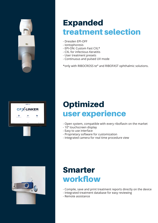

# Expanded treatment selection

- Dresden EPI-OFF
- Iontophoresis
- EPI-ON: Custom Fast CXL\*
- CXL for infectious Keratitis
- User treatment presets
- Continuous and pulsed UV mode

\*only with RIBOCROSS te® and RIBOFAST ophthalmic solutions.



# **Optimized** user experience

- Open system, compatible with every riboflavin on the market
- 10'' touchscreen display
- Easy to use interface
- Proprietary software for customization
- Integrated camera for real time procedure view



## Smarter workflow

- Compile, save and print treatment reports directly on the device
- Integrated treatment database for easy reviewing
- Remote assistance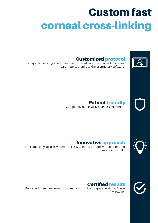# Custom fast corneal cross-linking



### Customized protocol

Topo-pachimetric guided treatment based on the patients' corneal parameters, thanks to the proprietary software.



Patient friendly Completely non invasive, EPI-ON treatment.



### Innovative approach

First and only to use Vitamin E TPGS-enhanced riboflavin solutions for improved results.



### Certified results

Published peer reviewed studies and clinical papers with a 7-year follow-up.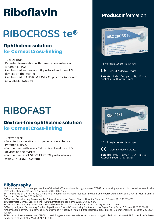# Riboflavin

# RIBOCROSS te®

## Ophthalmic solution for Corneal Cross-linking

- 10% Dextran
- Patented formulation with penetration enhancer (Vitamin E TPGS)
- Can be used with every CXL protocol and most UV devices on the market
- Can be used in CUSTOM FAST CXL protocol (only with CF X-LINKER System)

# **RIBOFAST**

### Dextran-free ophthalmic solution for Corneal Cross-linking

- Dextran-free
- Patented formulation with penetration enhancer (Vitamin E TPGS)
- Can be used with every CXL protocol and most UV devices on the market
- Can be used in CUSTOM FAST CXL protocol (only with CF X-LINKER System)

## Product information



1.5 ml single use sterile syringe

C E Class IIA Medical Device

**Patents:** Italy, Europe, USA, Russia, Australia, South Africa, Brazil.



#### **Bibliography**

1) "Enhancement of corneal permeation of riboflavin-5'-phosphate through vitamin E TPGS: A promising approach in corneal trans-epithelial cross linking treatment". Inter J Pharm 440 (2013) 148– 153.

2) "Transepithelial Corneal Cross-Linking With Vitamin E-Enhanced Riboflavin Solution and Abbreviated, Low-Dose UV-A: 24-Month Clinical Outcomes" Cornea 2016;35:145–150.

3) "Corneal Cross-Linking: Evaluating the Potential for a Lower Power, Shorter Duration Treatment" Cornea 2016;35:659–662.

- 4) "Customized Corneal Cross-linking A Mathematical Model" Cornea 2017;36:600–604.
- 5) "Corneal Cross-Linking The Science Beyond the Myths and Misconceptions" Cornea. 2019 Jun;38(6):780-790.

6) "Topography and Pachymetry Guided, Rapid Epi-on Corneal Cross-Linking for Keratoconus: 7-year Study Results" Cornea 2020;39:56–62. 7) "Compaction of very thin corneas from ultraviolet A riboflavin-vitamin E transepithelial cross-linking" Experimental Eye Research 205 (2021) 108484.

8) "Topo-pachimetric accelerated EPI-ON cross-linking compared to the Dresden protocol using riboflavin with Vitamin E TPGS: results of a 2-year randomized study" J. Clin. Med. 2021, 10, 3799.